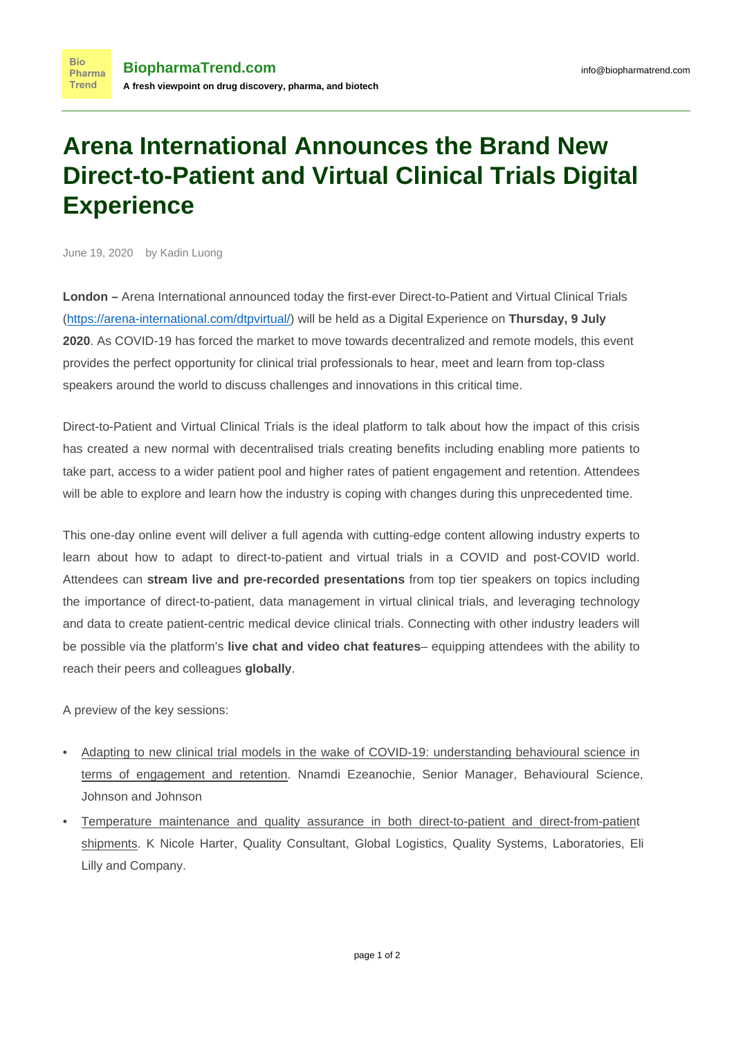## **Arena International Announces the Brand New Direct-to-Patient and Virtual Clinical Trials Digital Experience**

June 19, 2020 by Kadin Luong

**Bio** Pharma Trend

**London –** Arena International announced today the first-ever Direct-to-Patient and Virtual Clinical Trials [\(https://arena-international.com/dtpvirtual/\)](https://arena-international.com/dtpvirtual/) will be held as a Digital Experience on **Thursday, 9 July 2020**. As COVID-19 has forced the market to move towards decentralized and remote models, this event provides the perfect opportunity for clinical trial professionals to hear, meet and learn from top-class speakers around the world to discuss challenges and innovations in this critical time.

Direct-to-Patient and Virtual Clinical Trials is the ideal platform to talk about how the impact of this crisis has created a new normal with decentralised trials creating benefits including enabling more patients to take part, access to a wider patient pool and higher rates of patient engagement and retention. Attendees will be able to explore and learn how the industry is coping with changes during this unprecedented time.

This one-day online event will deliver a full agenda with cutting-edge content allowing industry experts to learn about how to adapt to direct-to-patient and virtual trials in a COVID and post-COVID world. Attendees can **stream live and pre-recorded presentations** from top tier speakers on topics including the importance of direct-to-patient, data management in virtual clinical trials, and leveraging technology and data to create patient-centric medical device clinical trials. Connecting with other industry leaders will be possible via the platform's **live chat and video chat features**– equipping attendees with the ability to reach their peers and colleagues **globally**.

A preview of the key sessions:

- Adapting to new clinical trial models in the wake of COVID-19: understanding behavioural science in terms of engagement and retention. Nnamdi Ezeanochie, Senior Manager, Behavioural Science, Johnson and Johnson
- Temperature maintenance and quality assurance in both direct-to-patient and direct-from-patient shipments. K Nicole Harter, Quality Consultant, Global Logistics, Quality Systems, Laboratories, Eli Lilly and Company.